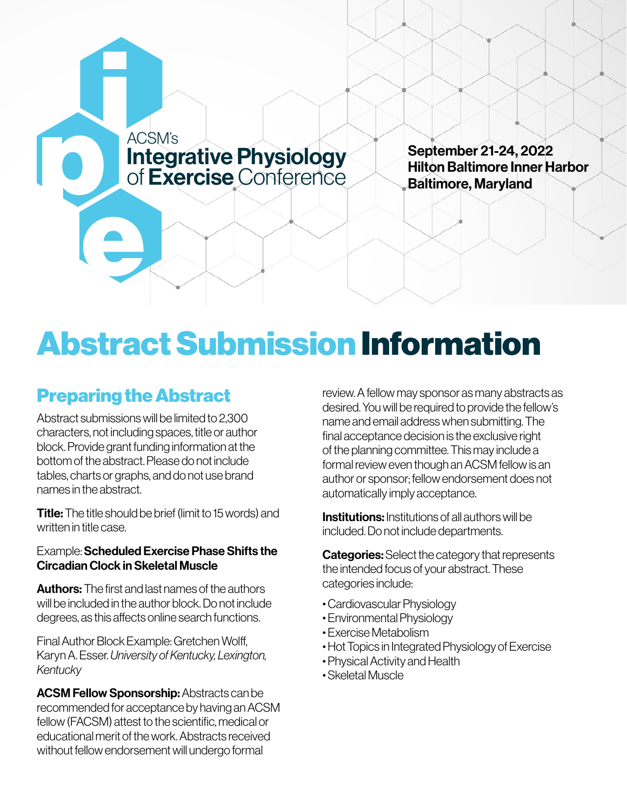

September 21-24, 2022 Hilton Baltimore Inner Harbor Baltimore, Maryland

## Abstract Submission Information

## Preparing the Abstract

Abstract submissions will be limited to 2,300 characters, not including spaces, title or author block. Provide grant funding information at the bottom of the abstract. Please do not include tables, charts or graphs, and do not use brand names in the abstract.

**Title:** The title should be brief (limit to 15 words) and written in title case.

## Example: Scheduled Exercise Phase Shifts the Circadian Clock in Skeletal Muscle

**Authors:** The first and last names of the authors will be included in the author block. Do not include degrees, as this affects online search functions.

Final Author Block Example: Gretchen Wolff, Karyn A. Esser. *University of Kentucky, Lexington, Kentucky*

ACSM Fellow Sponsorship: Abstracts can be recommended for acceptance by having an ACSM fellow (FACSM) attest to the scientific, medical or educational merit of the work. Abstracts received without fellow endorsement will undergo formal

review. A fellow may sponsor as many abstracts as desired. You will be required to provide the fellow's name and email address when submitting. The final acceptance decision is the exclusive right of the planning committee. This may include a formal review even though an ACSM fellow is an author or sponsor; fellow endorsement does not automatically imply acceptance.

Institutions: Institutions of all authors will be included. Do not include departments.

**Categories:** Select the category that represents the intended focus of your abstract. These categories include:

- Cardiovascular Physiology
- Environmental Physiology
- Exercise Metabolism
- Hot Topics in Integrated Physiology of Exercise
- Physical Activity and Health
- Skeletal Muscle